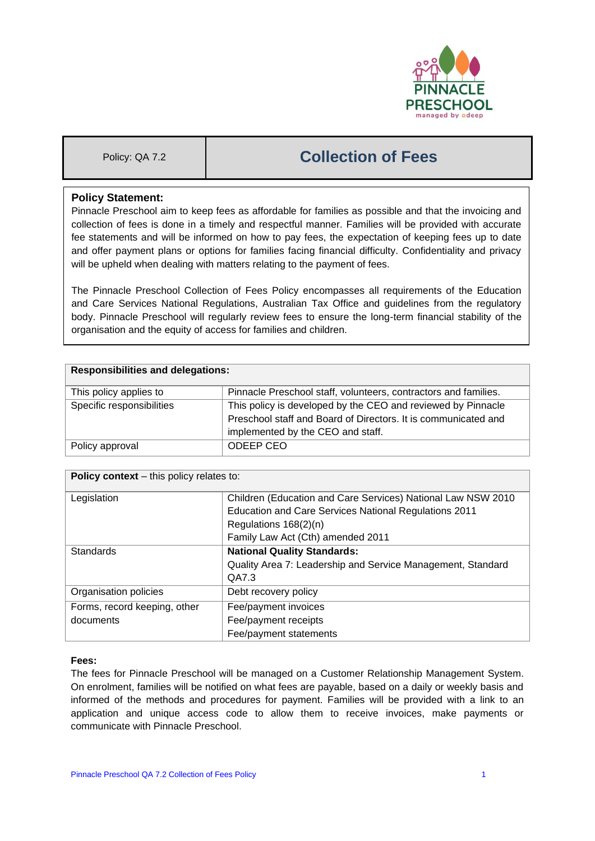

# Policy: QA 7.2 **Collection of Fees**

## **Policy Statement:**

Pinnacle Preschool aim to keep fees as affordable for families as possible and that the invoicing and collection of fees is done in a timely and respectful manner. Families will be provided with accurate fee statements and will be informed on how to pay fees, the expectation of keeping fees up to date and offer payment plans or options for families facing financial difficulty. Confidentiality and privacy will be upheld when dealing with matters relating to the payment of fees.

The Pinnacle Preschool Collection of Fees Policy encompasses all requirements of the Education and Care Services National Regulations, Australian Tax Office and guidelines from the regulatory body. Pinnacle Preschool will regularly review fees to ensure the long-term financial stability of the organisation and the equity of access for families and children.

| <b>Responsibilities and delegations:</b> |                                                                 |  |
|------------------------------------------|-----------------------------------------------------------------|--|
| This policy applies to                   | Pinnacle Preschool staff, volunteers, contractors and families. |  |
| Specific responsibilities                | This policy is developed by the CEO and reviewed by Pinnacle    |  |
|                                          | Preschool staff and Board of Directors. It is communicated and  |  |
|                                          | implemented by the CEO and staff.                               |  |
| Policy approval                          | ODEEP CEO                                                       |  |

| <b>Policy context</b> – this policy relates to: |                                                              |  |  |
|-------------------------------------------------|--------------------------------------------------------------|--|--|
| Legislation                                     | Children (Education and Care Services) National Law NSW 2010 |  |  |
|                                                 | Education and Care Services National Regulations 2011        |  |  |
|                                                 | Regulations 168(2)(n)                                        |  |  |
|                                                 | Family Law Act (Cth) amended 2011                            |  |  |
| <b>Standards</b>                                | <b>National Quality Standards:</b>                           |  |  |
|                                                 | Quality Area 7: Leadership and Service Management, Standard  |  |  |
|                                                 | QA7.3                                                        |  |  |
| Organisation policies                           | Debt recovery policy                                         |  |  |
| Forms, record keeping, other                    | Fee/payment invoices                                         |  |  |
| documents                                       | Fee/payment receipts                                         |  |  |
|                                                 | Fee/payment statements                                       |  |  |

### **Fees:**

The fees for Pinnacle Preschool will be managed on a Customer Relationship Management System. On enrolment, families will be notified on what fees are payable, based on a daily or weekly basis and informed of the methods and procedures for payment. Families will be provided with a link to an application and unique access code to allow them to receive invoices, make payments or communicate with Pinnacle Preschool.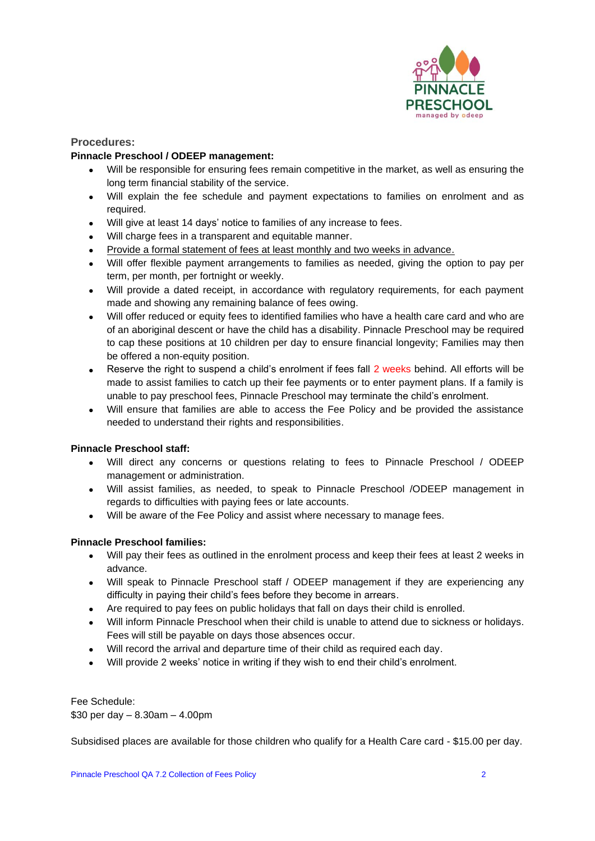

## **Procedures:**

## **Pinnacle Preschool / ODEEP management:**

- Will be responsible for ensuring fees remain competitive in the market, as well as ensuring the long term financial stability of the service.
- Will explain the fee schedule and payment expectations to families on enrolment and as required.
- Will give at least 14 days' notice to families of any increase to fees.
- Will charge fees in a transparent and equitable manner.
- Provide a formal statement of fees at least monthly and two weeks in advance.
- Will offer flexible payment arrangements to families as needed, giving the option to pay per term, per month, per fortnight or weekly.
- Will provide a dated receipt, in accordance with regulatory requirements, for each payment made and showing any remaining balance of fees owing.
- Will offer reduced or equity fees to identified families who have a health care card and who are of an aboriginal descent or have the child has a disability. Pinnacle Preschool may be required to cap these positions at 10 children per day to ensure financial longevity; Families may then be offered a non-equity position.
- Reserve the right to suspend a child's enrolment if fees fall 2 weeks behind. All efforts will be made to assist families to catch up their fee payments or to enter payment plans. If a family is unable to pay preschool fees, Pinnacle Preschool may terminate the child's enrolment.
- Will ensure that families are able to access the Fee Policy and be provided the assistance needed to understand their rights and responsibilities.

### **Pinnacle Preschool staff:**

- Will direct any concerns or questions relating to fees to Pinnacle Preschool / ODEEP management or administration.
- Will assist families, as needed, to speak to Pinnacle Preschool /ODEEP management in regards to difficulties with paying fees or late accounts.
- Will be aware of the Fee Policy and assist where necessary to manage fees.

### **Pinnacle Preschool families:**

- Will pay their fees as outlined in the enrolment process and keep their fees at least 2 weeks in advance.
- Will speak to Pinnacle Preschool staff / ODEEP management if they are experiencing any difficulty in paying their child's fees before they become in arrears.
- Are required to pay fees on public holidays that fall on days their child is enrolled.
- Will inform Pinnacle Preschool when their child is unable to attend due to sickness or holidays. Fees will still be payable on days those absences occur.
- Will record the arrival and departure time of their child as required each day.
- Will provide 2 weeks' notice in writing if they wish to end their child's enrolment.

Fee Schedule: \$30 per day – 8.30am – 4.00pm

Subsidised places are available for those children who qualify for a Health Care card - \$15.00 per day.